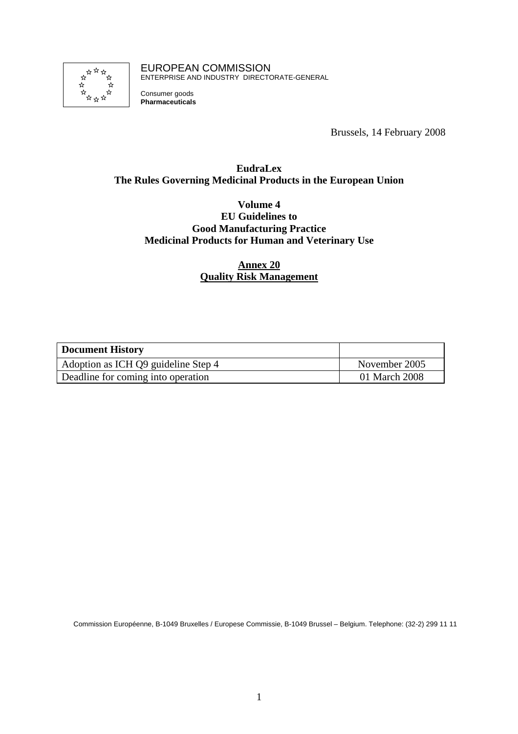

EUROPEAN COMMISSION ENTERPRISE AND INDUSTRY DIRECTORATE-GENERAL

Consumer goods **Pharmaceuticals**

Brussels, 14 February 2008

## **EudraLex The Rules Governing Medicinal Products in the European Union**

**Volume 4 EU Guidelines to Good Manufacturing Practice Medicinal Products for Human and Veterinary Use** 

# **Annex 20 Quality Risk Management**

| <b>Document History</b>             |               |
|-------------------------------------|---------------|
| Adoption as ICH Q9 guideline Step 4 | November 2005 |
| Deadline for coming into operation  | 01 March 2008 |

Commission Européenne, B-1049 Bruxelles / Europese Commissie, B-1049 Brussel – Belgium. Telephone: (32-2) 299 11 11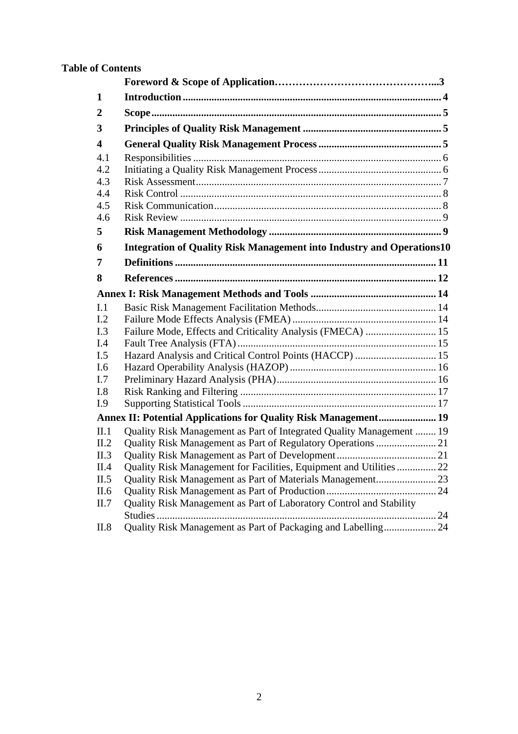# **Table of Contents**

| 1                       |                                                                              |  |
|-------------------------|------------------------------------------------------------------------------|--|
| $\overline{2}$          |                                                                              |  |
| 3                       |                                                                              |  |
| $\overline{\mathbf{4}}$ |                                                                              |  |
| 4.1                     |                                                                              |  |
| 4.2                     |                                                                              |  |
| 4.3                     |                                                                              |  |
| 4.4                     |                                                                              |  |
| 4.5                     |                                                                              |  |
| 4.6                     |                                                                              |  |
| 5                       |                                                                              |  |
| 6                       | <b>Integration of Quality Risk Management into Industry and Operations10</b> |  |
| 7                       |                                                                              |  |
| 8                       |                                                                              |  |
|                         |                                                                              |  |
| I.1                     |                                                                              |  |
| I.2                     |                                                                              |  |
| I.3                     | Failure Mode, Effects and Criticality Analysis (FMECA)  15                   |  |
| I.4                     |                                                                              |  |
| I.5                     | Hazard Analysis and Critical Control Points (HACCP)  15                      |  |
| I.6                     |                                                                              |  |
| I.7                     |                                                                              |  |
| I.8                     |                                                                              |  |
| I.9                     |                                                                              |  |
|                         | Annex II: Potential Applications for Quality Risk Management 19              |  |
| II.1                    | Quality Risk Management as Part of Integrated Quality Management  19         |  |
| II.2                    |                                                                              |  |
| II.3                    |                                                                              |  |
| II.4                    | Quality Risk Management for Facilities, Equipment and Utilities  22          |  |
| II.5                    |                                                                              |  |
| II.6                    |                                                                              |  |
| II.7                    | Quality Risk Management as Part of Laboratory Control and Stability          |  |
| II.8                    | Quality Risk Management as Part of Packaging and Labelling 24                |  |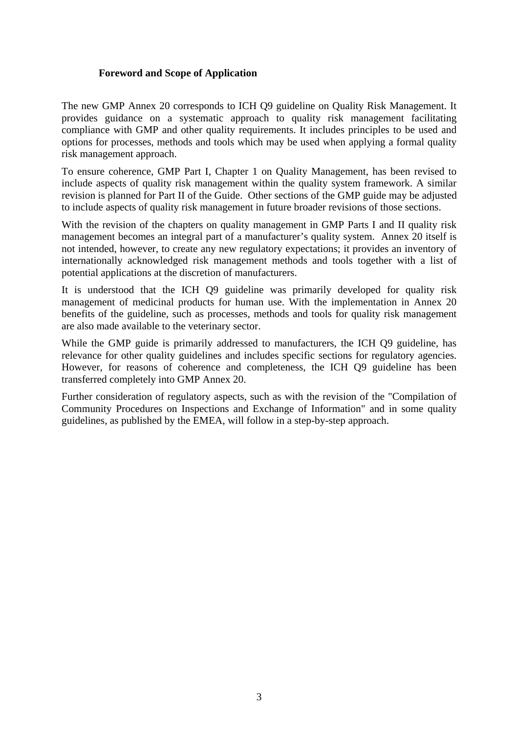## **Foreword and Scope of Application**

The new GMP Annex 20 corresponds to ICH Q9 guideline on Quality Risk Management. It provides guidance on a systematic approach to quality risk management facilitating compliance with GMP and other quality requirements. It includes principles to be used and options for processes, methods and tools which may be used when applying a formal quality risk management approach.

To ensure coherence, GMP Part I, Chapter 1 on Quality Management, has been revised to include aspects of quality risk management within the quality system framework. A similar revision is planned for Part II of the Guide. Other sections of the GMP guide may be adjusted to include aspects of quality risk management in future broader revisions of those sections.

With the revision of the chapters on quality management in GMP Parts I and II quality risk management becomes an integral part of a manufacturer's quality system. Annex 20 itself is not intended, however, to create any new regulatory expectations; it provides an inventory of internationally acknowledged risk management methods and tools together with a list of potential applications at the discretion of manufacturers.

It is understood that the ICH Q9 guideline was primarily developed for quality risk management of medicinal products for human use. With the implementation in Annex 20 benefits of the guideline, such as processes, methods and tools for quality risk management are also made available to the veterinary sector.

While the GMP guide is primarily addressed to manufacturers, the ICH Q9 guideline, has relevance for other quality guidelines and includes specific sections for regulatory agencies. However, for reasons of coherence and completeness, the ICH Q9 guideline has been transferred completely into GMP Annex 20.

Further consideration of regulatory aspects, such as with the revision of the "Compilation of Community Procedures on Inspections and Exchange of Information" and in some quality guidelines, as published by the EMEA, will follow in a step-by-step approach.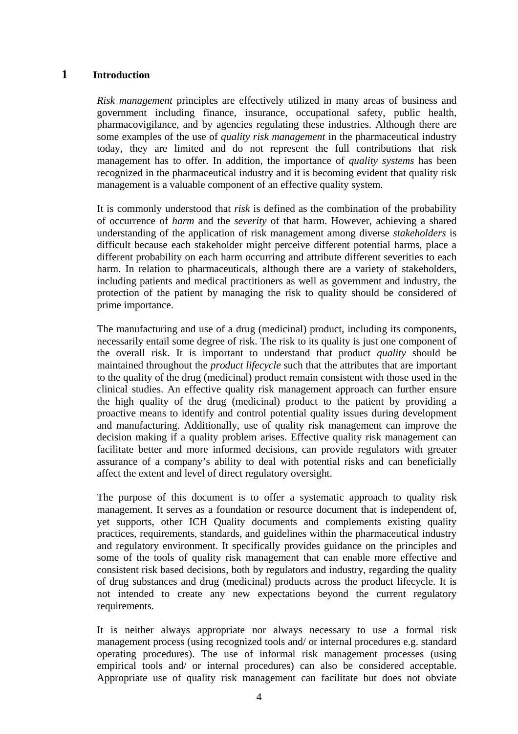## <span id="page-3-0"></span>**1 Introduction**

*Risk management* principles are effectively utilized in many areas of business and government including finance, insurance, occupational safety, public health, pharmacovigilance, and by agencies regulating these industries. Although there are some examples of the use of *quality risk management* in the pharmaceutical industry today, they are limited and do not represent the full contributions that risk management has to offer. In addition, the importance of *quality systems* has been recognized in the pharmaceutical industry and it is becoming evident that quality risk management is a valuable component of an effective quality system.

It is commonly understood that *risk* is defined as the combination of the probability of occurrence of *harm* and the *severity* of that harm. However, achieving a shared understanding of the application of risk management among diverse *stakeholders* is difficult because each stakeholder might perceive different potential harms, place a different probability on each harm occurring and attribute different severities to each harm. In relation to pharmaceuticals, although there are a variety of stakeholders, including patients and medical practitioners as well as government and industry, the protection of the patient by managing the risk to quality should be considered of prime importance.

The manufacturing and use of a drug (medicinal) product, including its components, necessarily entail some degree of risk. The risk to its quality is just one component of the overall risk. It is important to understand that product *quality* should be maintained throughout the *product lifecycle* such that the attributes that are important to the quality of the drug (medicinal) product remain consistent with those used in the clinical studies. An effective quality risk management approach can further ensure the high quality of the drug (medicinal) product to the patient by providing a proactive means to identify and control potential quality issues during development and manufacturing. Additionally, use of quality risk management can improve the decision making if a quality problem arises. Effective quality risk management can facilitate better and more informed decisions, can provide regulators with greater assurance of a company's ability to deal with potential risks and can beneficially affect the extent and level of direct regulatory oversight.

The purpose of this document is to offer a systematic approach to quality risk management. It serves as a foundation or resource document that is independent of, yet supports, other ICH Quality documents and complements existing quality practices, requirements, standards, and guidelines within the pharmaceutical industry and regulatory environment. It specifically provides guidance on the principles and some of the tools of quality risk management that can enable more effective and consistent risk based decisions, both by regulators and industry, regarding the quality of drug substances and drug (medicinal) products across the product lifecycle. It is not intended to create any new expectations beyond the current regulatory requirements.

It is neither always appropriate nor always necessary to use a formal risk management process (using recognized tools and/ or internal procedures e.g. standard operating procedures). The use of informal risk management processes (using empirical tools and/ or internal procedures) can also be considered acceptable. Appropriate use of quality risk management can facilitate but does not obviate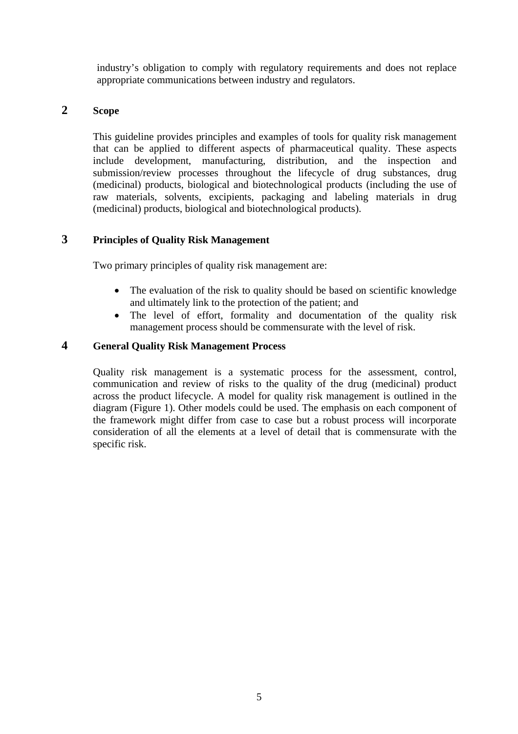industry's obligation to comply with regulatory requirements and does not replace appropriate communications between industry and regulators.

# <span id="page-4-0"></span>**2 Scope**

This guideline provides principles and examples of tools for quality risk management that can be applied to different aspects of pharmaceutical quality. These aspects include development, manufacturing, distribution, and the inspection and submission/review processes throughout the lifecycle of drug substances, drug (medicinal) products, biological and biotechnological products (including the use of raw materials, solvents, excipients, packaging and labeling materials in drug (medicinal) products, biological and biotechnological products).

## <span id="page-4-1"></span>**3 Principles of Quality Risk Management**

Two primary principles of quality risk management are:

- The evaluation of the risk to quality should be based on scientific knowledge and ultimately link to the protection of the patient; and
- The level of effort, formality and documentation of the quality risk management process should be commensurate with the level of risk.

## <span id="page-4-2"></span>**4 General Quality Risk Management Process**

Quality risk management is a systematic process for the assessment, control, communication and review of risks to the quality of the drug (medicinal) product across the product lifecycle. A model for quality risk management is outlined in the diagram (Figure 1). Other models could be used. The emphasis on each component of the framework might differ from case to case but a robust process will incorporate consideration of all the elements at a level of detail that is commensurate with the specific risk.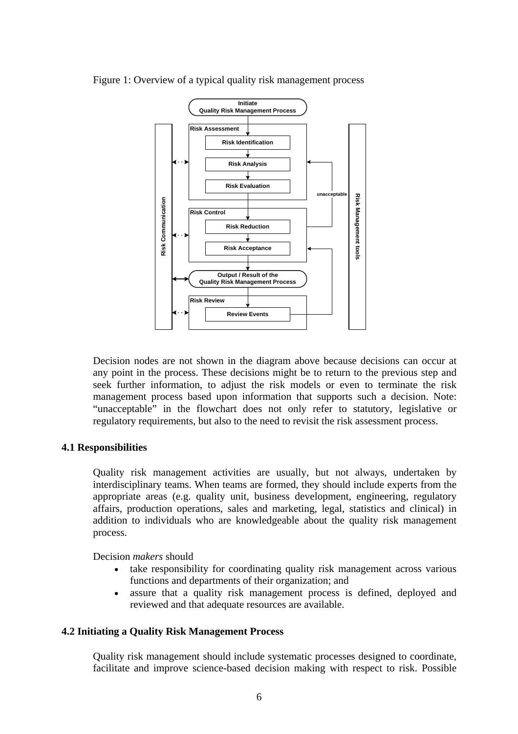

Figure 1: Overview of a typical quality risk management process

Decision nodes are not shown in the diagram above because decisions can occur at any point in the process. These decisions might be to return to the previous step and seek further information, to adjust the risk models or even to terminate the risk management process based upon information that supports such a decision. Note: "unacceptable" in the flowchart does not only refer to statutory, legislative or regulatory requirements, but also to the need to revisit the risk assessment process.

## <span id="page-5-0"></span>**4.1 Responsibilities**

Quality risk management activities are usually, but not always, undertaken by interdisciplinary teams. When teams are formed, they should include experts from the appropriate areas (e.g. quality unit, business development, engineering, regulatory affairs, production operations, sales and marketing, legal, statistics and clinical) in addition to individuals who are knowledgeable about the quality risk management process.

Decision *makers* should

- take responsibility for coordinating quality risk management across various functions and departments of their organization; and
- assure that a quality risk management process is defined, deployed and reviewed and that adequate resources are available.

## <span id="page-5-1"></span>**4.2 Initiating a Quality Risk Management Process**

Quality risk management should include systematic processes designed to coordinate, facilitate and improve science-based decision making with respect to risk. Possible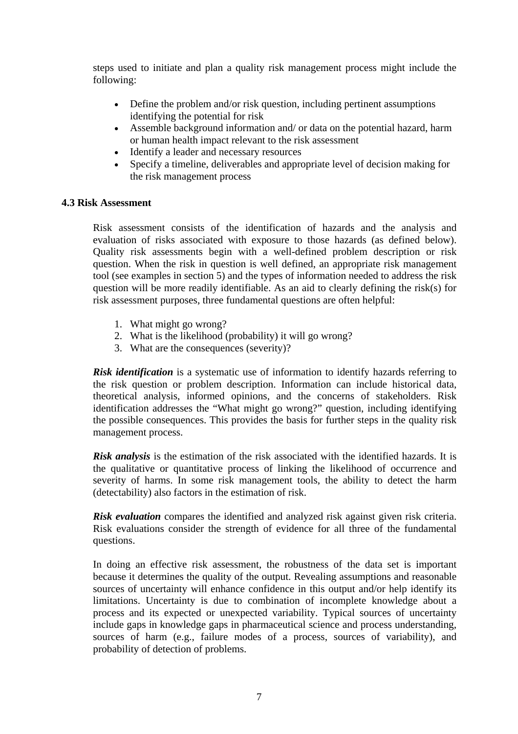steps used to initiate and plan a quality risk management process might include the following:

- Define the problem and/or risk question, including pertinent assumptions identifying the potential for risk
- Assemble background information and/ or data on the potential hazard, harm or human health impact relevant to the risk assessment
- Identify a leader and necessary resources
- Specify a timeline, deliverables and appropriate level of decision making for the risk management process

## <span id="page-6-0"></span>**4.3 Risk Assessment**

Risk assessment consists of the identification of hazards and the analysis and evaluation of risks associated with exposure to those hazards (as defined below). Quality risk assessments begin with a well-defined problem description or risk question. When the risk in question is well defined, an appropriate risk management tool (see examples in section 5) and the types of information needed to address the risk question will be more readily identifiable. As an aid to clearly defining the risk(s) for risk assessment purposes, three fundamental questions are often helpful:

- 1. What might go wrong?
- 2. What is the likelihood (probability) it will go wrong?
- 3. What are the consequences (severity)?

*Risk identification* is a systematic use of information to identify hazards referring to the risk question or problem description. Information can include historical data, theoretical analysis, informed opinions, and the concerns of stakeholders. Risk identification addresses the "What might go wrong?" question, including identifying the possible consequences. This provides the basis for further steps in the quality risk management process.

*Risk analysis* is the estimation of the risk associated with the identified hazards. It is the qualitative or quantitative process of linking the likelihood of occurrence and severity of harms. In some risk management tools, the ability to detect the harm (detectability) also factors in the estimation of risk.

*Risk evaluation* compares the identified and analyzed risk against given risk criteria. Risk evaluations consider the strength of evidence for all three of the fundamental questions.

In doing an effective risk assessment, the robustness of the data set is important because it determines the quality of the output. Revealing assumptions and reasonable sources of uncertainty will enhance confidence in this output and/or help identify its limitations. Uncertainty is due to combination of incomplete knowledge about a process and its expected or unexpected variability. Typical sources of uncertainty include gaps in knowledge gaps in pharmaceutical science and process understanding, sources of harm (e.g., failure modes of a process, sources of variability), and probability of detection of problems.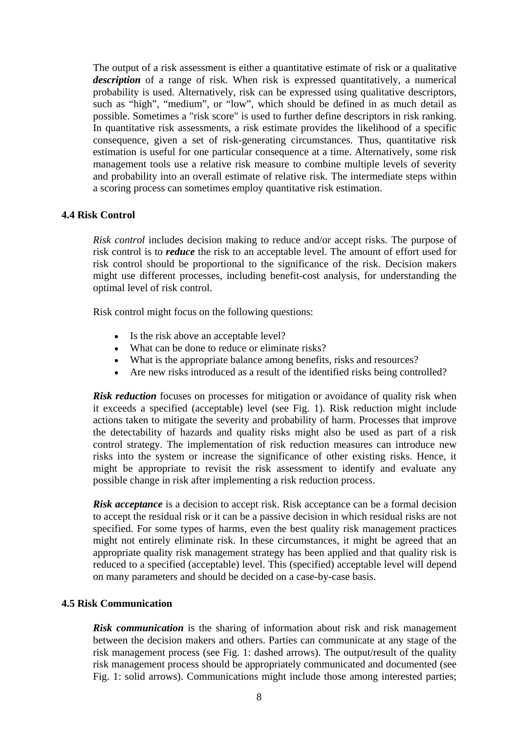The output of a risk assessment is either a quantitative estimate of risk or a qualitative *description* of a range of risk. When risk is expressed quantitatively, a numerical probability is used. Alternatively, risk can be expressed using qualitative descriptors, such as "high", "medium", or "low", which should be defined in as much detail as possible. Sometimes a "risk score" is used to further define descriptors in risk ranking. In quantitative risk assessments, a risk estimate provides the likelihood of a specific consequence, given a set of risk-generating circumstances. Thus, quantitative risk estimation is useful for one particular consequence at a time. Alternatively, some risk management tools use a relative risk measure to combine multiple levels of severity and probability into an overall estimate of relative risk. The intermediate steps within a scoring process can sometimes employ quantitative risk estimation.

## <span id="page-7-0"></span>**4.4 Risk Control**

*Risk control* includes decision making to reduce and/or accept risks. The purpose of risk control is to *reduce* the risk to an acceptable level. The amount of effort used for risk control should be proportional to the significance of the risk. Decision makers might use different processes, including benefit-cost analysis, for understanding the optimal level of risk control.

Risk control might focus on the following questions:

- Is the risk above an acceptable level?
- What can be done to reduce or eliminate risks?
- What is the appropriate balance among benefits, risks and resources?
- Are new risks introduced as a result of the identified risks being controlled?

*Risk reduction* focuses on processes for mitigation or avoidance of quality risk when it exceeds a specified (acceptable) level (see Fig. 1). Risk reduction might include actions taken to mitigate the severity and probability of harm. Processes that improve the detectability of hazards and quality risks might also be used as part of a risk control strategy. The implementation of risk reduction measures can introduce new risks into the system or increase the significance of other existing risks. Hence, it might be appropriate to revisit the risk assessment to identify and evaluate any possible change in risk after implementing a risk reduction process.

*Risk acceptance* is a decision to accept risk. Risk acceptance can be a formal decision to accept the residual risk or it can be a passive decision in which residual risks are not specified. For some types of harms, even the best quality risk management practices might not entirely eliminate risk. In these circumstances, it might be agreed that an appropriate quality risk management strategy has been applied and that quality risk is reduced to a specified (acceptable) level. This (specified) acceptable level will depend on many parameters and should be decided on a case-by-case basis.

## <span id="page-7-1"></span>**4.5 Risk Communication**

*Risk communication* is the sharing of information about risk and risk management between the decision makers and others. Parties can communicate at any stage of the risk management process (see Fig. 1: dashed arrows). The output/result of the quality risk management process should be appropriately communicated and documented (see Fig. 1: solid arrows). Communications might include those among interested parties;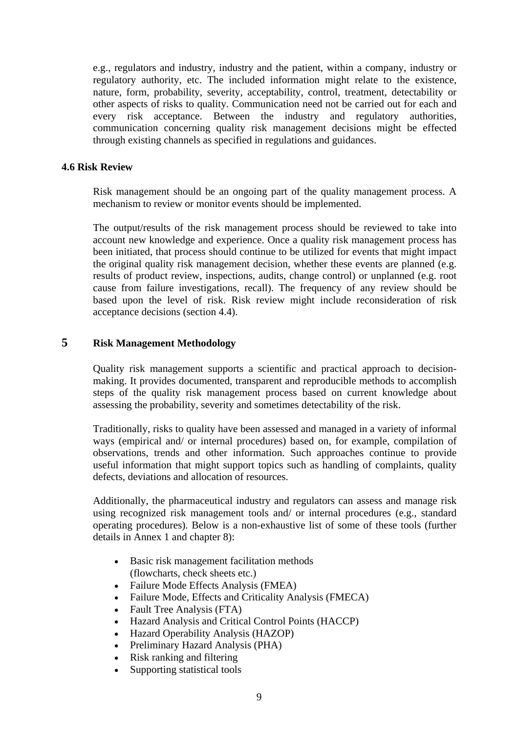e.g., regulators and industry, industry and the patient, within a company, industry or regulatory authority, etc. The included information might relate to the existence, nature, form, probability, severity, acceptability, control, treatment, detectability or other aspects of risks to quality. Communication need not be carried out for each and every risk acceptance. Between the industry and regulatory authorities, communication concerning quality risk management decisions might be effected through existing channels as specified in regulations and guidances.

## <span id="page-8-0"></span>**4.6 Risk Review**

Risk management should be an ongoing part of the quality management process. A mechanism to review or monitor events should be implemented.

The output/results of the risk management process should be reviewed to take into account new knowledge and experience. Once a quality risk management process has been initiated, that process should continue to be utilized for events that might impact the original quality risk management decision, whether these events are planned (e.g. results of product review, inspections, audits, change control) or unplanned (e.g. root cause from failure investigations, recall). The frequency of any review should be based upon the level of risk. Risk review might include reconsideration of risk acceptance decisions (section 4.4).

# <span id="page-8-1"></span>**5 Risk Management Methodology**

Quality risk management supports a scientific and practical approach to decisionmaking. It provides documented, transparent and reproducible methods to accomplish steps of the quality risk management process based on current knowledge about assessing the probability, severity and sometimes detectability of the risk.

Traditionally, risks to quality have been assessed and managed in a variety of informal ways (empirical and/ or internal procedures) based on, for example, compilation of observations, trends and other information. Such approaches continue to provide useful information that might support topics such as handling of complaints, quality defects, deviations and allocation of resources.

Additionally, the pharmaceutical industry and regulators can assess and manage risk using recognized risk management tools and/ or internal procedures (e.g., standard operating procedures). Below is a non-exhaustive list of some of these tools (further details in Annex 1 and chapter 8):

- Basic risk management facilitation methods (flowcharts, check sheets etc.)
- Failure Mode Effects Analysis (FMEA)
- Failure Mode, Effects and Criticality Analysis (FMECA)
- Fault Tree Analysis (FTA)
- Hazard Analysis and Critical Control Points (HACCP)
- Hazard Operability Analysis (HAZOP)
- Preliminary Hazard Analysis (PHA)
- Risk ranking and filtering
- Supporting statistical tools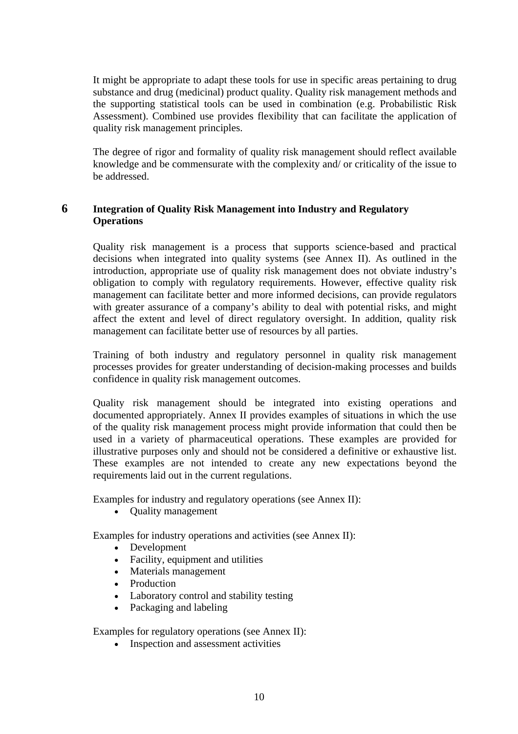It might be appropriate to adapt these tools for use in specific areas pertaining to drug substance and drug (medicinal) product quality. Quality risk management methods and the supporting statistical tools can be used in combination (e.g. Probabilistic Risk Assessment). Combined use provides flexibility that can facilitate the application of quality risk management principles.

The degree of rigor and formality of quality risk management should reflect available knowledge and be commensurate with the complexity and/ or criticality of the issue to be addressed.

## <span id="page-9-0"></span>**6 Integration of Quality Risk Management into Industry and Regulatory Operations**

Quality risk management is a process that supports science-based and practical decisions when integrated into quality systems (see Annex II). As outlined in the introduction, appropriate use of quality risk management does not obviate industry's obligation to comply with regulatory requirements. However, effective quality risk management can facilitate better and more informed decisions, can provide regulators with greater assurance of a company's ability to deal with potential risks, and might affect the extent and level of direct regulatory oversight. In addition, quality risk management can facilitate better use of resources by all parties.

Training of both industry and regulatory personnel in quality risk management processes provides for greater understanding of decision-making processes and builds confidence in quality risk management outcomes.

Quality risk management should be integrated into existing operations and documented appropriately. Annex II provides examples of situations in which the use of the quality risk management process might provide information that could then be used in a variety of pharmaceutical operations. These examples are provided for illustrative purposes only and should not be considered a definitive or exhaustive list. These examples are not intended to create any new expectations beyond the requirements laid out in the current regulations.

Examples for industry and regulatory operations (see Annex II):

• Quality management

Examples for industry operations and activities (see Annex II):

- Development
- Facility, equipment and utilities
- Materials management
- Production
- Laboratory control and stability testing
- Packaging and labeling

Examples for regulatory operations (see Annex II):

• Inspection and assessment activities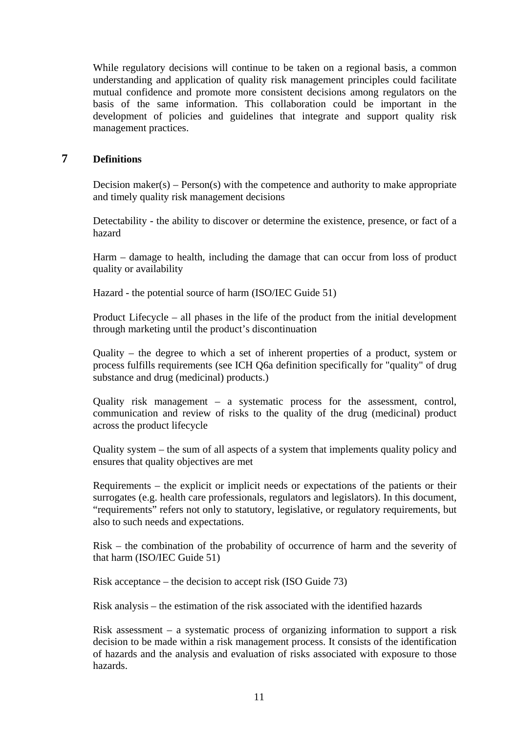While regulatory decisions will continue to be taken on a regional basis, a common understanding and application of quality risk management principles could facilitate mutual confidence and promote more consistent decisions among regulators on the basis of the same information. This collaboration could be important in the development of policies and guidelines that integrate and support quality risk management practices.

## <span id="page-10-0"></span>**7 Definitions**

Decision maker(s) –  $Person(s)$  with the competence and authority to make appropriate and timely quality risk management decisions

Detectability - the ability to discover or [determine](http://www.webster.com/dictionary/determine) the existence, presence, or fact of a hazard

Harm – damage to health, including the damage that can occur from loss of product quality or availability

Hazard - the potential source of harm (ISO/IEC Guide 51)

Product Lifecycle – all phases in the life of the product from the initial development through marketing until the product's discontinuation

Quality – the degree to which a set of inherent properties of a product, system or process fulfills requirements (see ICH Q6a definition specifically for "quality" of drug substance and drug (medicinal) products.)

Quality risk management – a systematic process for the assessment, control, communication and review of risks to the quality of the drug (medicinal) product across the product lifecycle

Quality system – the sum of all aspects of a system that implements quality policy and ensures that quality objectives are met

Requirements – the explicit or implicit needs or expectations of the patients or their surrogates (e.g. health care professionals, regulators and legislators). In this document, "requirements" refers not only to statutory, legislative, or regulatory requirements, but also to such needs and expectations.

Risk – the combination of the probability of occurrence of harm and the severity of that harm (ISO/IEC Guide 51)

Risk acceptance – the decision to accept risk (ISO Guide 73)

Risk analysis – the estimation of the risk associated with the identified hazards

Risk assessment – a systematic process of organizing information to support a risk decision to be made within a risk management process. It consists of the identification of hazards and the analysis and evaluation of risks associated with exposure to those hazards.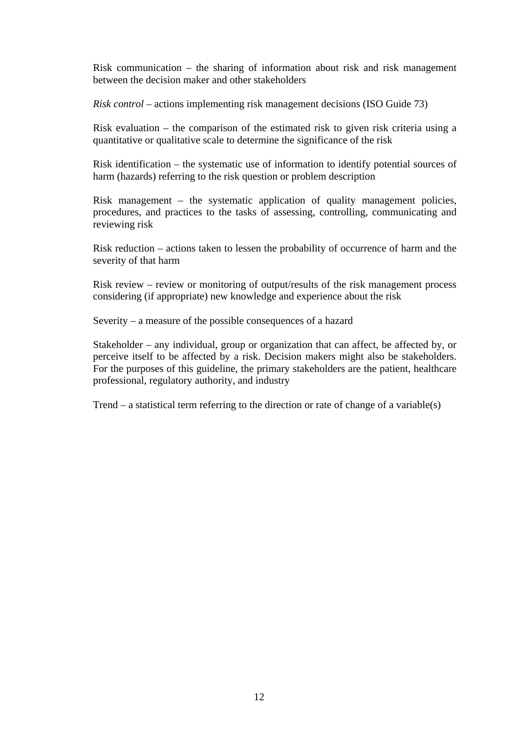Risk communication – the sharing of information about risk and risk management between the decision maker and other stakeholders

*Risk control* – actions implementing risk management decisions (ISO Guide 73)

Risk evaluation – the comparison of the estimated risk to given risk criteria using a quantitative or qualitative scale to determine the significance of the risk

Risk identification – the systematic use of information to identify potential sources of harm (hazards) referring to the risk question or problem description

Risk management – the systematic application of quality management policies, procedures, and practices to the tasks of assessing, controlling, communicating and reviewing risk

Risk reduction – actions taken to lessen the probability of occurrence of harm and the severity of that harm

Risk review – review or monitoring of output/results of the risk management process considering (if appropriate) new knowledge and experience about the risk

Severity – a measure of the possible consequences of a hazard

Stakeholder – any individual, group or organization that can affect, be affected by, or perceive itself to be affected by a risk. Decision makers might also be stakeholders. For the purposes of this guideline, the primary stakeholders are the patient, healthcare professional, regulatory authority, and industry

Trend – a statistical term referring to the direction or rate of change of a variable(s)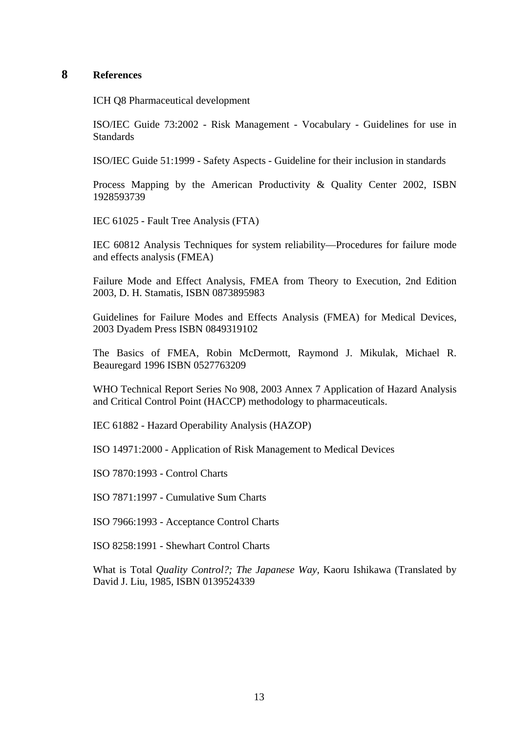## **8 References**

ICH Q8 Pharmaceutical development

ISO/IEC Guide 73:2002 - Risk Management - Vocabulary - Guidelines for use in Standards

ISO/IEC Guide 51:1999 - Safety Aspects - Guideline for their inclusion in standards

Process Mapping by the American Productivity & Quality Center 2002, ISBN 1928593739

IEC 61025 - Fault Tree Analysis (FTA)

IEC 60812 Analysis Techniques for system reliability—Procedures for failure mode and effects analysis (FMEA)

Failure Mode and Effect Analysis, FMEA from Theory to Execution, 2nd Edition 2003, D. H. Stamatis, ISBN 0873895983

Guidelines for Failure Modes and Effects Analysis (FMEA) for Medical Devices, 2003 Dyadem Press ISBN 0849319102

The Basics of FMEA, Robin McDermott, Raymond J. Mikulak, Michael R. Beauregard 1996 ISBN 0527763209

WHO Technical Report Series No 908, 2003 Annex 7 Application of Hazard Analysis and Critical Control Point (HACCP) methodology to pharmaceuticals.

<span id="page-12-0"></span>IEC 61882 - Hazard Operability Analysis (HAZOP)

ISO 14971:2000 - Application of Risk Management to Medical Devices

ISO 7870:1993 - Control Charts

ISO 7871:1997 - Cumulative Sum Charts

ISO 7966:1993 - Acceptance Control Charts

ISO 8258:1991 - Shewhart Control Charts

What is Total *Quality Control?; The Japanese Way,* Kaoru Ishikawa (Translated by David J. Liu, 1985, ISBN 0139524339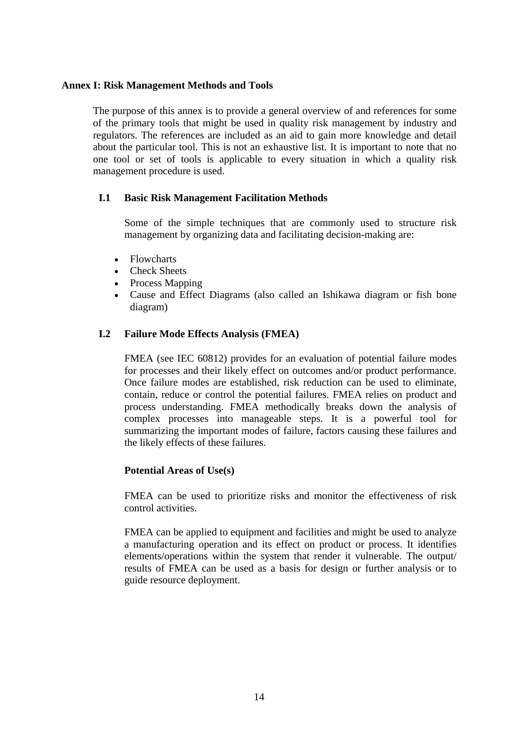## <span id="page-13-0"></span>**Annex I: Risk Management Methods and Tools**

The purpose of this annex is to provide a general overview of and references for some of the primary tools that might be used in quality risk management by industry and regulators. The references are included as an aid to gain more knowledge and detail about the particular tool. This is not an exhaustive list. It is important to note that no one tool or set of tools is applicable to every situation in which a quality risk management procedure is used.

## <span id="page-13-1"></span>**I.1 Basic Risk Management Facilitation Methods**

Some of the simple techniques that are commonly used to structure risk management by organizing data and facilitating decision-making are:

- Flowcharts
- Check Sheets
- Process Mapping
- Cause and Effect Diagrams (also called an Ishikawa diagram or fish bone diagram)

## <span id="page-13-2"></span>**I.2 Failure Mode Effects Analysis (FMEA)**

FMEA (see IEC 60812) provides for an evaluation of potential failure modes for processes and their likely effect on outcomes and/or product performance. Once failure modes are established, risk reduction can be used to eliminate, contain, reduce or control the potential failures. FMEA relies on product and process understanding. FMEA methodically breaks down the analysis of complex processes into manageable steps. It is a powerful tool for summarizing the important modes of failure, factors causing these failures and the likely effects of these failures.

## **Potential Areas of Use(s)**

FMEA can be used to prioritize risks and monitor the effectiveness of risk control activities.

FMEA can be applied to equipment and facilities and might be used to analyze a manufacturing operation and its effect on product or process. It identifies elements/operations within the system that render it vulnerable. The output/ results of FMEA can be used as a basis for design or further analysis or to guide resource deployment.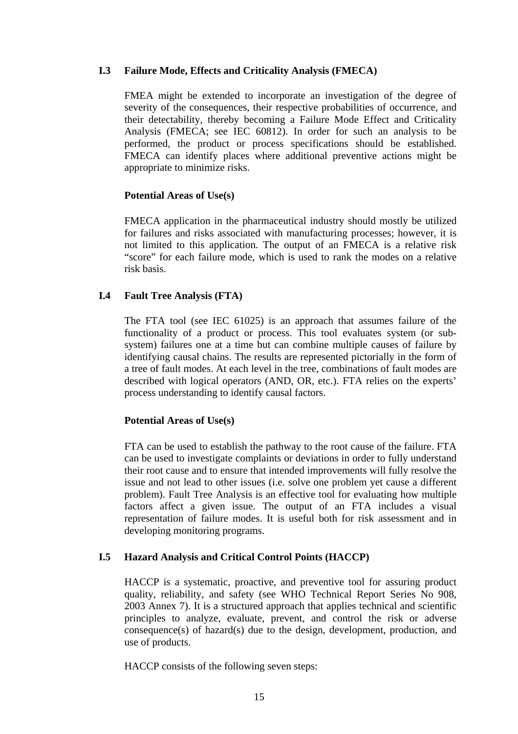## **I.3 Failure Mode, Effects and Criticality Analysis (FMECA)**

FMEA might be extended to incorporate an investigation of the degree of severity of the consequences, their respective probabilities of occurrence, and their detectability, thereby becoming a Failure Mode Effect and Criticality Analysis (FMECA; see IEC 60812). In order for such an analysis to be performed, the product or process specifications should be established. FMECA can identify places where additional preventive actions might be appropriate to minimize risks.

## **Potential Areas of Use(s)**

FMECA application in the pharmaceutical industry should mostly be utilized for failures and risks associated with manufacturing processes; however, it is not limited to this application. The output of an FMECA is a relative risk "score" for each failure mode, which is used to rank the modes on a relative risk basis.

## <span id="page-14-1"></span>**I.4 Fault Tree Analysis (FTA)**

The FTA tool (see IEC 61025) is an approach that assumes failure of the functionality of a product or process. This tool evaluates system (or subsystem) failures one at a time but can combine multiple causes of failure by identifying causal chains. The results are represented pictorially in the form of a tree of fault modes. At each level in the tree, combinations of fault modes are described with logical operators (AND, OR, etc.). FTA relies on the experts' process understanding to identify causal factors.

## **Potential Areas of Use(s)**

FTA can be used to establish the pathway to the root cause of the failure. FTA can be used to investigate complaints or deviations in order to fully understand their root cause and to ensure that intended improvements will fully resolve the issue and not lead to other issues (i.e. solve one problem yet cause a different problem). Fault Tree Analysis is an effective tool for evaluating how multiple factors affect a given issue. The output of an FTA includes a visual representation of failure modes. It is useful both for risk assessment and in developing monitoring programs.

## <span id="page-14-2"></span><span id="page-14-0"></span>**I.5 Hazard Analysis and Critical Control Points (HACCP)**

HACCP is a systematic, proactive, and preventive tool for assuring product quality, reliability, and safety (see WHO Technical Report Series No 908, 2003 Annex 7). It is a structured approach that applies technical and scientific principles to analyze, evaluate, prevent, and control the risk or adverse consequence(s) of hazard(s) due to the design, development, production, and use of products.

HACCP consists of the following seven steps: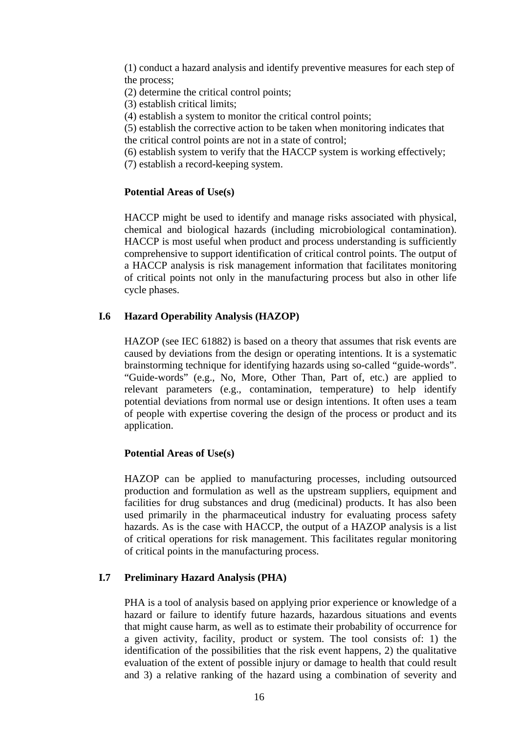(1) conduct a hazard analysis and identify preventive measures for each step of the process;

(2) determine the critical control points;

(3) establish critical limits;

(4) establish a system to monitor the critical control points;

(5) establish the corrective action to be taken when monitoring indicates that the critical control points are not in a state of control;

(6) establish system to verify that the HACCP system is working effectively;

(7) establish a record-keeping system.

## **Potential Areas of Use(s)**

HACCP might be used to identify and manage risks associated with physical, chemical and biological hazards (including microbiological contamination). HACCP is most useful when product and process understanding is sufficiently comprehensive to support identification of critical control points. The output of a HACCP analysis is risk management information that facilitates monitoring of critical points not only in the manufacturing process but also in other life cycle phases.

## <span id="page-15-0"></span>**I.6 Hazard Operability Analysis (HAZOP)**

HAZOP (see IEC 61882) is based on a theory that assumes that risk events are caused by deviations from the design or operating intentions. It is a systematic brainstorming technique for identifying hazards using so-called "guide-words". "Guide-words" (e.g., No, More, Other Than, Part of, etc.) are applied to relevant parameters (e.g., contamination, temperature) to help identify potential deviations from normal use or design intentions. It often uses a team of people with expertise covering the design of the process or product and its application.

## **Potential Areas of Use(s)**

HAZOP can be applied to manufacturing processes, including outsourced production and formulation as well as the upstream suppliers, equipment and facilities for drug substances and drug (medicinal) products. It has also been used primarily in the pharmaceutical industry for evaluating process safety hazards. As is the case with HACCP, the output of a HAZOP analysis is a list of critical operations for risk management. This facilitates regular monitoring of critical points in the manufacturing process.

## <span id="page-15-1"></span>**I.7 Preliminary Hazard Analysis (PHA)**

PHA is a tool of analysis based on applying prior experience or knowledge of a hazard or failure to identify future hazards, hazardous situations and events that might cause harm, as well as to estimate their probability of occurrence for a given activity, facility, product or system. The tool consists of: 1) the identification of the possibilities that the risk event happens, 2) the qualitative evaluation of the extent of possible injury or damage to health that could result and 3) a relative ranking of the hazard using a combination of severity and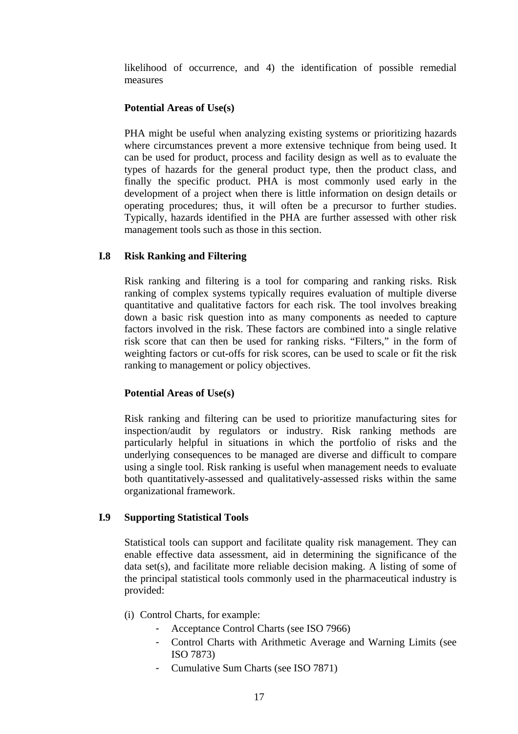likelihood of occurrence, and 4) the identification of possible remedial measures

## **Potential Areas of Use(s)**

PHA might be useful when analyzing existing systems or prioritizing hazards where circumstances prevent a more extensive technique from being used. It can be used for product, process and facility design as well as to evaluate the types of hazards for the general product type, then the product class, and finally the specific product. PHA is most commonly used early in the development of a project when there is little information on design details or operating procedures; thus, it will often be a precursor to further studies. Typically, hazards identified in the PHA are further assessed with other risk management tools such as those in this section.

## <span id="page-16-0"></span>**I.8 Risk Ranking and Filtering**

Risk ranking and filtering is a tool for comparing and ranking risks. Risk ranking of complex systems typically requires evaluation of multiple diverse quantitative and qualitative factors for each risk. The tool involves breaking down a basic risk question into as many components as needed to capture factors involved in the risk. These factors are combined into a single relative risk score that can then be used for ranking risks. "Filters," in the form of weighting factors or cut-offs for risk scores, can be used to scale or fit the risk ranking to management or policy objectives.

## **Potential Areas of Use(s)**

Risk ranking and filtering can be used to prioritize manufacturing sites for inspection/audit by regulators or industry. Risk ranking methods are particularly helpful in situations in which the portfolio of risks and the underlying consequences to be managed are diverse and difficult to compare using a single tool. Risk ranking is useful when management needs to evaluate both quantitatively-assessed and qualitatively-assessed risks within the same organizational framework.

## <span id="page-16-1"></span>**I.9 Supporting Statistical Tools**

Statistical tools can support and facilitate quality risk management. They can enable effective data assessment, aid in determining the significance of the data set(s), and facilitate more reliable decision making. A listing of some of the principal statistical tools commonly used in the pharmaceutical industry is provided:

- (i) Control Charts, for example:
	- Acceptance Control Charts (see ISO 7966)
	- Control Charts with Arithmetic Average and Warning Limits (see ISO 7873)
	- Cumulative Sum Charts (see ISO 7871)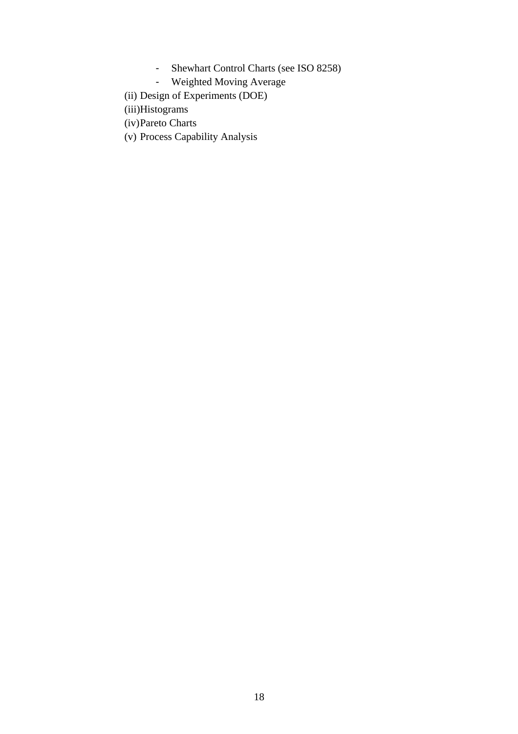- Shewhart Control Charts (see ISO 8258)
- Weighted Moving Average
- (ii) Design of Experiments (DOE)
- (iii)Histograms
- (iv)Pareto Charts
- (v) Process Capability Analysis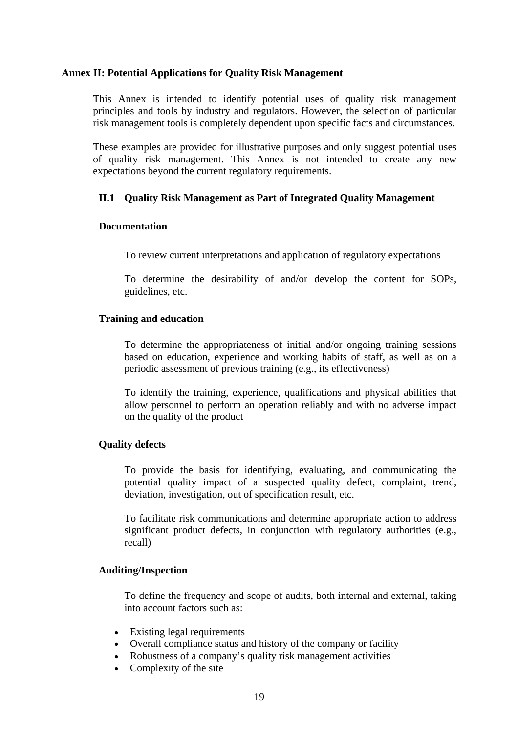### **Annex II: Potential Applications for Quality Risk Management**

This Annex is intended to identify potential uses of quality risk management principles and tools by industry and regulators. However, the selection of particular risk management tools is completely dependent upon specific facts and circumstances.

<span id="page-18-0"></span>These examples are provided for illustrative purposes and only suggest potential uses of quality risk management. This Annex is not intended to create any new expectations beyond the current regulatory requirements.

## <span id="page-18-1"></span>**II.1 Quality Risk Management as Part of Integrated Quality Management**

#### **Documentation**

To review current interpretations and application of regulatory expectations

To determine the desirability of and/or develop the content for SOPs, guidelines, etc.

#### **Training and education**

To determine the appropriateness of initial and/or ongoing training sessions based on education, experience and working habits of staff, as well as on a periodic assessment of previous training (e.g., its effectiveness)

To identify the training, experience, qualifications and physical abilities that allow personnel to perform an operation reliably and with no adverse impact on the quality of the product

## **Quality defects**

To provide the basis for identifying, evaluating, and communicating the potential quality impact of a suspected quality defect, complaint, trend, deviation, investigation, out of specification result, etc.

To facilitate risk communications and determine appropriate action to address significant product defects, in conjunction with regulatory authorities (e.g., recall)

## **Auditing/Inspection**

To define the frequency and scope of audits, both internal and external, taking into account factors such as:

- Existing legal requirements
- Overall compliance status and history of the company or facility
- Robustness of a company's quality risk management activities
- Complexity of the site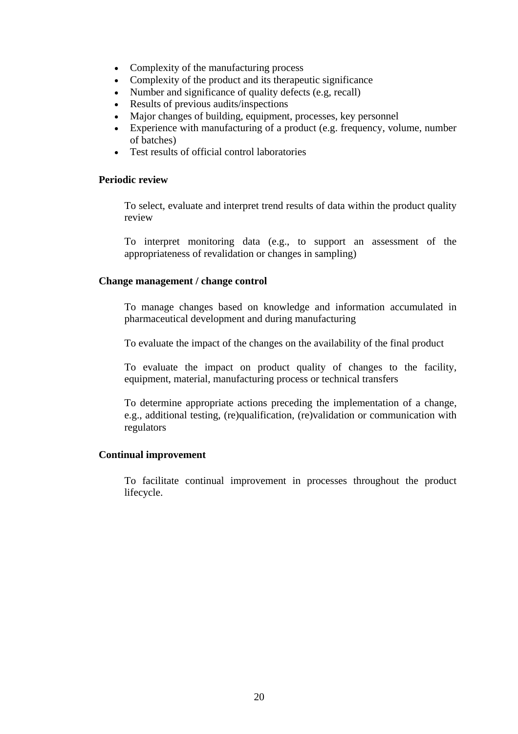- Complexity of the manufacturing process
- Complexity of the product and its therapeutic significance
- Number and significance of quality defects (e.g, recall)
- Results of previous audits/inspections
- Major changes of building, equipment, processes, key personnel
- Experience with manufacturing of a product (e.g. frequency, volume, number of batches)
- Test results of official control laboratories

## **Periodic review**

To select, evaluate and interpret trend results of data within the product quality review

To interpret monitoring data (e.g., to support an assessment of the appropriateness of revalidation or changes in sampling)

## **Change management / change control**

To manage changes based on knowledge and information accumulated in pharmaceutical development and during manufacturing

To evaluate the impact of the changes on the availability of the final product

To evaluate the impact on product quality of changes to the facility, equipment, material, manufacturing process or technical transfers

To determine appropriate actions preceding the implementation of a change, e.g., additional testing, (re)qualification, (re)validation or communication with regulators

## **Continual improvement**

To facilitate continual improvement in processes throughout the product lifecycle.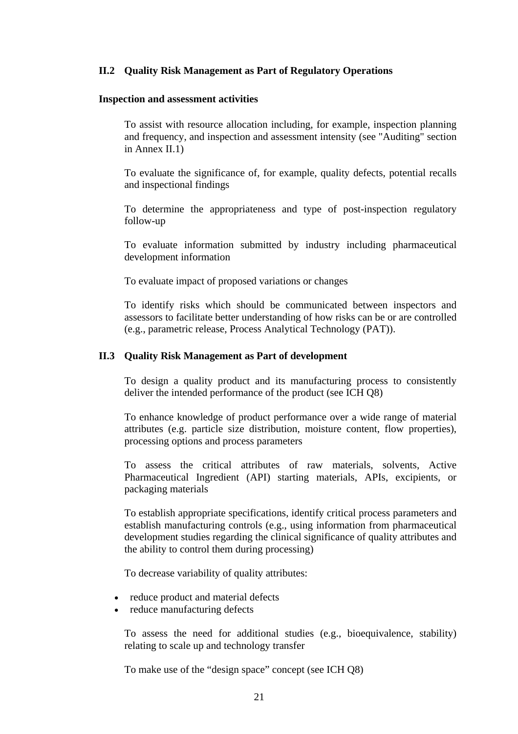## <span id="page-20-0"></span>**II.2 Quality Risk Management as Part of Regulatory Operations**

#### **Inspection and assessment activities**

To assist with resource allocation including, for example, inspection planning and frequency, and inspection and assessment intensity (see "Auditing" section in Annex II.1)

To evaluate the significance of, for example, quality defects, potential recalls and inspectional findings

To determine the appropriateness and type of post-inspection regulatory follow-up

To evaluate information submitted by industry including pharmaceutical development information

To evaluate impact of proposed variations or changes

To identify risks which should be communicated between inspectors and assessors to facilitate better understanding of how risks can be or are controlled (e.g., parametric release, Process Analytical Technology (PAT)).

## <span id="page-20-1"></span>**II.3 Quality Risk Management as Part of development**

To design a quality product and its manufacturing process to consistently deliver the intended performance of the product (see ICH Q8)

To enhance knowledge of product performance over a wide range of material attributes (e.g. particle size distribution, moisture content, flow properties), processing options and process parameters

To assess the critical attributes of raw materials, solvents, Active Pharmaceutical Ingredient (API) starting materials, APIs, excipients, or packaging materials

To establish appropriate specifications, identify critical process parameters and establish manufacturing controls (e.g., using information from pharmaceutical development studies regarding the clinical significance of quality attributes and the ability to control them during processing)

To decrease variability of quality attributes:

- reduce product and material defects
- reduce manufacturing defects

To assess the need for additional studies (e.g., bioequivalence, stability) relating to scale up and technology transfer

To make use of the "design space" concept (see ICH Q8)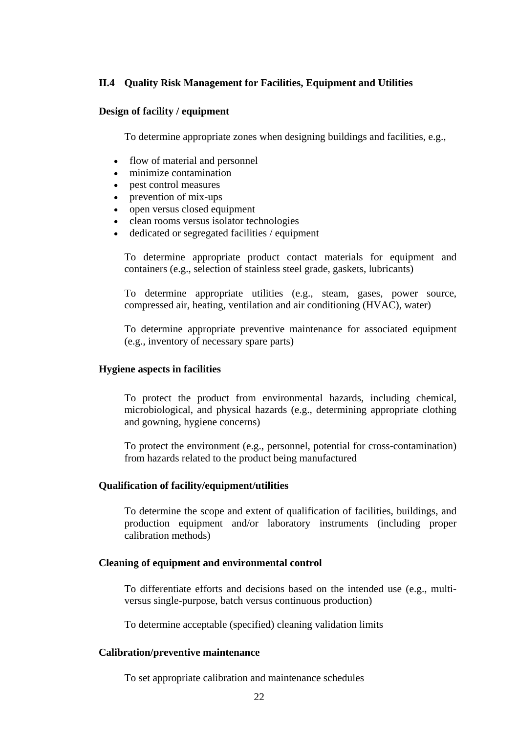## <span id="page-21-0"></span>**II.4 Quality Risk Management for Facilities, Equipment and Utilities**

### **Design of facility / equipment**

To determine appropriate zones when designing buildings and facilities, e.g.,

- flow of material and personnel
- minimize contamination
- pest control measures
- prevention of mix-ups
- open versus closed equipment
- clean rooms versus isolator technologies
- dedicated or segregated facilities / equipment

To determine appropriate product contact materials for equipment and containers (e.g., selection of stainless steel grade, gaskets, lubricants)

To determine appropriate utilities (e.g., steam, gases, power source, compressed air, heating, ventilation and air conditioning (HVAC), water)

To determine appropriate preventive maintenance for associated equipment (e.g., inventory of necessary spare parts)

### **Hygiene aspects in facilities**

To protect the product from environmental hazards, including chemical, microbiological, and physical hazards (e.g., determining appropriate clothing and gowning, hygiene concerns)

To protect the environment (e.g., personnel, potential for cross-contamination) from hazards related to the product being manufactured

#### **Qualification of facility/equipment/utilities**

To determine the scope and extent of qualification of facilities, buildings, and production equipment and/or laboratory instruments (including proper calibration methods)

#### **Cleaning of equipment and environmental control**

To differentiate efforts and decisions based on the intended use (e.g., multiversus single-purpose, batch versus continuous production)

To determine acceptable (specified) cleaning validation limits

#### **Calibration/preventive maintenance**

To set appropriate calibration and maintenance schedules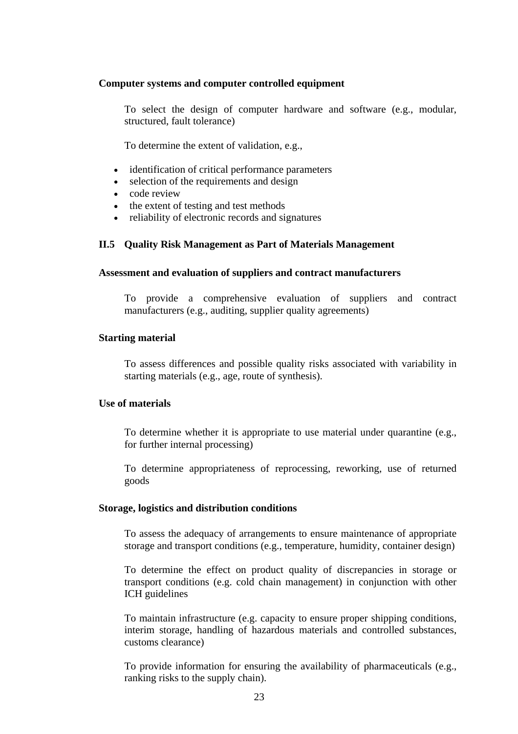#### **Computer systems and computer controlled equipment**

To select the design of computer hardware and software (e.g., modular, structured, fault tolerance)

To determine the extent of validation, e.g.,

- identification of critical performance parameters
- selection of the requirements and design
- code review
- the extent of testing and test methods
- reliability of electronic records and signatures

#### <span id="page-22-0"></span>**II.5 Quality Risk Management as Part of Materials Management**

#### **Assessment and evaluation of suppliers and contract manufacturers**

To provide a comprehensive evaluation of suppliers and contract manufacturers (e.g., auditing, supplier quality agreements)

## **Starting material**

To assess differences and possible quality risks associated with variability in starting materials (e.g., age, route of synthesis).

#### **Use of materials**

To determine whether it is appropriate to use material under quarantine (e.g., for further internal processing)

To determine appropriateness of reprocessing, reworking, use of returned goods

#### **Storage, logistics and distribution conditions**

To assess the adequacy of arrangements to ensure maintenance of appropriate storage and transport conditions (e.g., temperature, humidity, container design)

To determine the effect on product quality of discrepancies in storage or transport conditions (e.g. cold chain management) in conjunction with other ICH guidelines

To maintain infrastructure (e.g. capacity to ensure proper shipping conditions, interim storage, handling of hazardous materials and controlled substances, customs clearance)

To provide information for ensuring the availability of pharmaceuticals (e.g., ranking risks to the supply chain).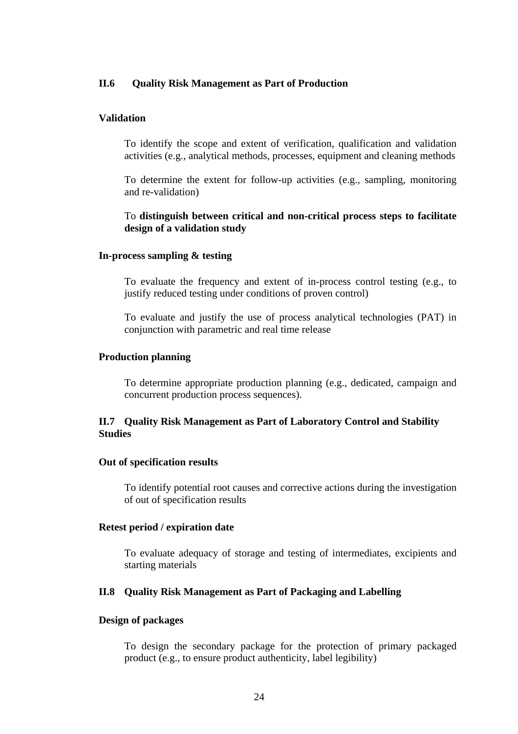## <span id="page-23-0"></span>**II.6 Quality Risk Management as Part of Production**

## **Validation**

To identify the scope and extent of verification, qualification and validation activities (e.g., analytical methods, processes, equipment and cleaning methods

To determine the extent for follow-up activities (e.g., sampling, monitoring and re-validation)

## To **distinguish between critical and non-critical process steps to facilitate design of a validation study**

#### **In-process sampling & testing**

To evaluate the frequency and extent of in-process control testing (e.g., to justify reduced testing under conditions of proven control)

To evaluate and justify the use of process analytical technologies (PAT) in conjunction with parametric and real time release

#### **Production planning**

To determine appropriate production planning (e.g., dedicated, campaign and concurrent production process sequences).

## <span id="page-23-1"></span>**II.7 Quality Risk Management as Part of Laboratory Control and Stability Studies**

#### **Out of specification results**

To identify potential root causes and corrective actions during the investigation of out of specification results

#### **Retest period / expiration date**

To evaluate adequacy of storage and testing of intermediates, excipients and starting materials

## <span id="page-23-2"></span>**II.8 Quality Risk Management as Part of Packaging and Labelling**

#### **Design of packages**

To design the secondary package for the protection of primary packaged product (e.g., to ensure product authenticity, label legibility)